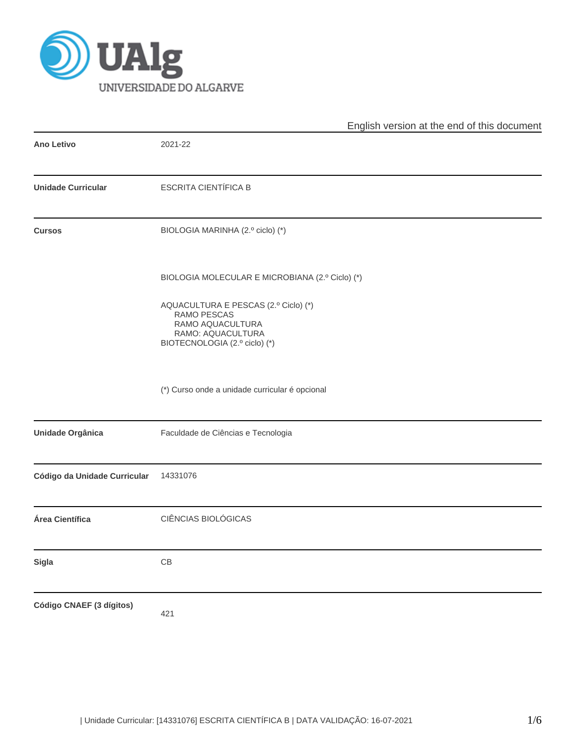

|                              | English version at the end of this document                                                                                   |  |  |  |  |
|------------------------------|-------------------------------------------------------------------------------------------------------------------------------|--|--|--|--|
| <b>Ano Letivo</b>            | 2021-22                                                                                                                       |  |  |  |  |
| <b>Unidade Curricular</b>    | <b>ESCRITA CIENTÍFICA B</b>                                                                                                   |  |  |  |  |
| <b>Cursos</b>                | BIOLOGIA MARINHA (2.º ciclo) (*)                                                                                              |  |  |  |  |
|                              | BIOLOGIA MOLECULAR E MICROBIANA (2.º Ciclo) (*)                                                                               |  |  |  |  |
|                              | AQUACULTURA E PESCAS (2.º Ciclo) (*)<br>RAMO PESCAS<br>RAMO AQUACULTURA<br>RAMO: AQUACULTURA<br>BIOTECNOLOGIA (2.º ciclo) (*) |  |  |  |  |
|                              | (*) Curso onde a unidade curricular é opcional                                                                                |  |  |  |  |
| <b>Unidade Orgânica</b>      | Faculdade de Ciências e Tecnologia                                                                                            |  |  |  |  |
| Código da Unidade Curricular | 14331076                                                                                                                      |  |  |  |  |
| Área Científica              | CIÊNCIAS BIOLÓGICAS                                                                                                           |  |  |  |  |
| Sigla                        | CB                                                                                                                            |  |  |  |  |
| Código CNAEF (3 dígitos)     | 421                                                                                                                           |  |  |  |  |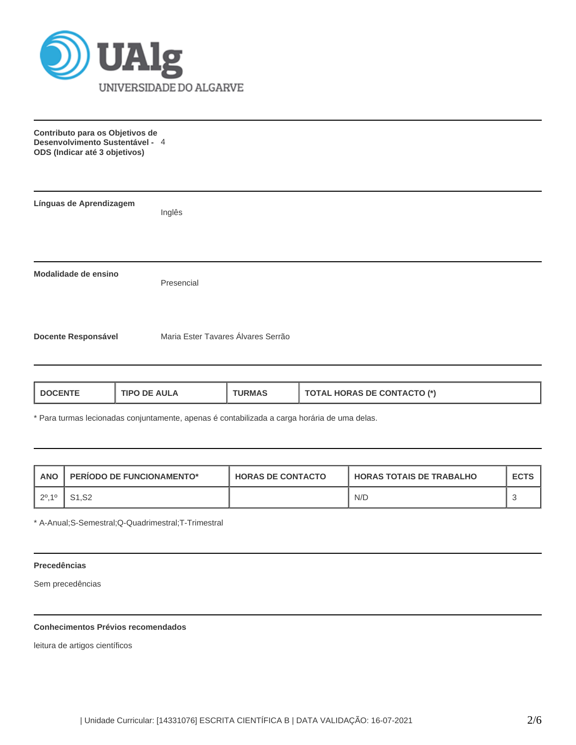

**Contributo para os Objetivos de Desenvolvimento Sustentável -** 4 **ODS (Indicar até 3 objetivos)**

| Línguas de Aprendizagem    | Inglês                             |
|----------------------------|------------------------------------|
|                            |                                    |
| Modalidade de ensino       | Presencial                         |
| <b>Docente Responsável</b> | Maria Ester Tavares Álvares Serrão |

| <b>. HORAS DE CONTACTO (*)</b><br><b>AULA</b><br><b>'JRMAS</b><br>ΤΩΤΔΙ<br>TIPO DE<br>DOCENTE<br>____ |
|-------------------------------------------------------------------------------------------------------|
|-------------------------------------------------------------------------------------------------------|

\* Para turmas lecionadas conjuntamente, apenas é contabilizada a carga horária de uma delas.

| <b>ANO</b> | <b>PERIODO DE FUNCIONAMENTO*</b> | <b>HORAS DE CONTACTO</b> | <b>LHORAS TOTAIS DE TRABALHO</b> | <b>ECTS</b> |
|------------|----------------------------------|--------------------------|----------------------------------|-------------|
| 1, 20, 10  |                                  |                          | N/D                              |             |

\* A-Anual;S-Semestral;Q-Quadrimestral;T-Trimestral

## **Precedências**

Sem precedências

# **Conhecimentos Prévios recomendados**

leitura de artigos científicos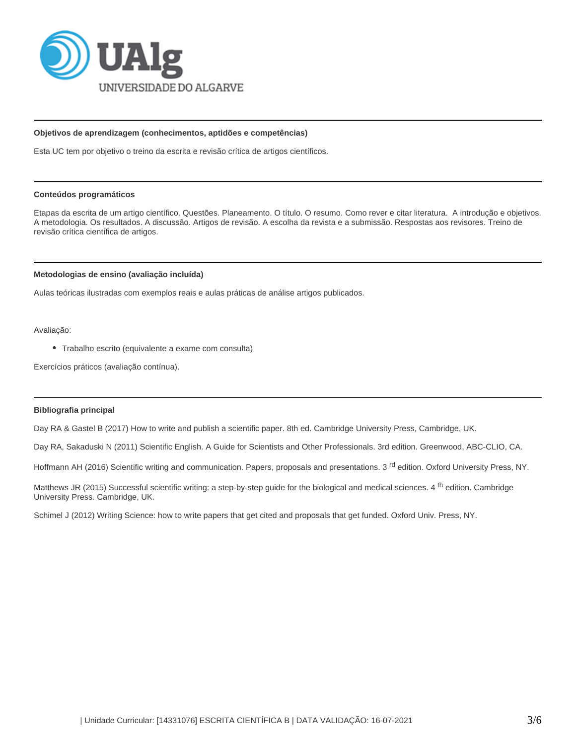

#### **Objetivos de aprendizagem (conhecimentos, aptidões e competências)**

Esta UC tem por objetivo o treino da escrita e revisão crítica de artigos científicos.

#### **Conteúdos programáticos**

Etapas da escrita de um artigo científico. Questões. Planeamento. O título. O resumo. Como rever e citar literatura. A introdução e objetivos. A metodologia. Os resultados. A discussão. Artigos de revisão. A escolha da revista e a submissão. Respostas aos revisores. Treino de revisão crítica científica de artigos.

#### **Metodologias de ensino (avaliação incluída)**

Aulas teóricas ilustradas com exemplos reais e aulas práticas de análise artigos publicados.

Avaliação:

Trabalho escrito (equivalente a exame com consulta)

Exercícios práticos (avaliação contínua).

### **Bibliografia principal**

Day RA & Gastel B (2017) How to write and publish a scientific paper. 8th ed. Cambridge University Press, Cambridge, UK.

Day RA, Sakaduski N (2011) Scientific English. A Guide for Scientists and Other Professionals. 3rd edition. Greenwood, ABC-CLIO, CA.

Hoffmann AH (2016) Scientific writing and communication. Papers, proposals and presentations. 3<sup>rd</sup> edition. Oxford University Press, NY.

Matthews JR (2015) Successful scientific writing: a step-by-step quide for the biological and medical sciences. 4 <sup>th</sup> edition. Cambridge University Press. Cambridge, UK.

Schimel J (2012) Writing Science: how to write papers that get cited and proposals that get funded. Oxford Univ. Press, NY.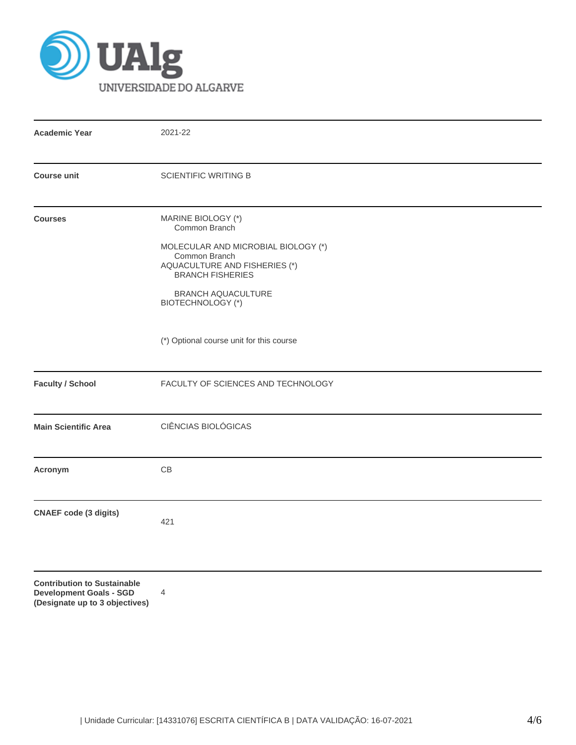

**(Designate up to 3 objectives)**

| <b>Academic Year</b>                                                 | 2021-22                                                                                                                                                                                                          |  |  |  |  |
|----------------------------------------------------------------------|------------------------------------------------------------------------------------------------------------------------------------------------------------------------------------------------------------------|--|--|--|--|
| <b>Course unit</b>                                                   | <b>SCIENTIFIC WRITING B</b>                                                                                                                                                                                      |  |  |  |  |
| <b>Courses</b>                                                       | MARINE BIOLOGY (*)<br>Common Branch<br>MOLECULAR AND MICROBIAL BIOLOGY (*)<br>Common Branch<br>AQUACULTURE AND FISHERIES (*)<br><b>BRANCH FISHERIES</b><br><b>BRANCH AQUACULTURE</b><br><b>BIOTECHNOLOGY (*)</b> |  |  |  |  |
|                                                                      | (*) Optional course unit for this course                                                                                                                                                                         |  |  |  |  |
| <b>Faculty / School</b>                                              | FACULTY OF SCIENCES AND TECHNOLOGY                                                                                                                                                                               |  |  |  |  |
| <b>Main Scientific Area</b>                                          | CIÊNCIAS BIOLÓGICAS                                                                                                                                                                                              |  |  |  |  |
| Acronym                                                              | CB                                                                                                                                                                                                               |  |  |  |  |
| <b>CNAEF code (3 digits)</b>                                         | 421                                                                                                                                                                                                              |  |  |  |  |
| <b>Contribution to Sustainable</b><br><b>Development Goals - SGD</b> | 4                                                                                                                                                                                                                |  |  |  |  |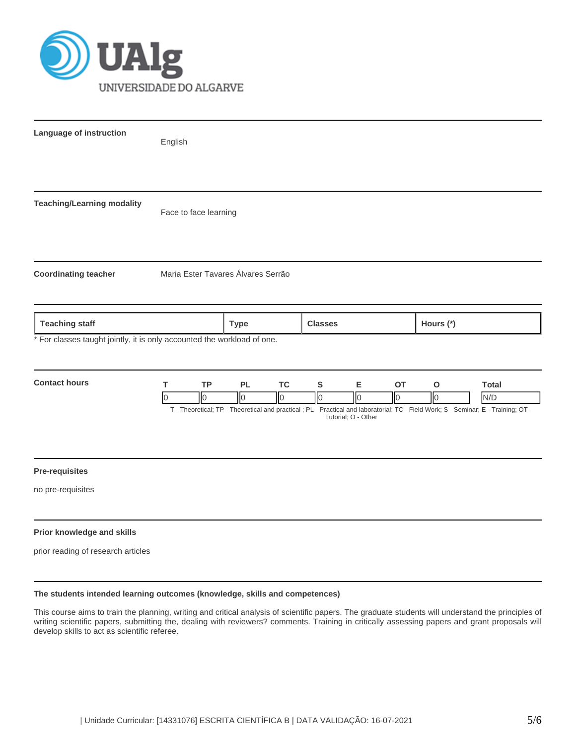

| Language of instruction                                                 | English                                          |                                                                                                                                                                                          |                                                                           |                  |                                |                     |  |
|-------------------------------------------------------------------------|--------------------------------------------------|------------------------------------------------------------------------------------------------------------------------------------------------------------------------------------------|---------------------------------------------------------------------------|------------------|--------------------------------|---------------------|--|
|                                                                         |                                                  |                                                                                                                                                                                          |                                                                           |                  |                                |                     |  |
| <b>Teaching/Learning modality</b>                                       | Face to face learning                            |                                                                                                                                                                                          |                                                                           |                  |                                |                     |  |
| <b>Coordinating teacher</b>                                             | Maria Ester Tavares Álvares Serrão               |                                                                                                                                                                                          |                                                                           |                  |                                |                     |  |
| <b>Teaching staff</b>                                                   |                                                  | <b>Type</b>                                                                                                                                                                              | <b>Classes</b>                                                            |                  | Hours (*)                      |                     |  |
| * For classes taught jointly, it is only accounted the workload of one. |                                                  |                                                                                                                                                                                          |                                                                           |                  |                                |                     |  |
| <b>Contact hours</b>                                                    | $\mathsf T$<br><b>TP</b><br>Io<br>$\overline{0}$ | <b>PL</b><br><b>TC</b><br>$\sqrt{0}$<br>$\sqrt{0}$<br>T - Theoretical; TP - Theoretical and practical; PL - Practical and laboratorial; TC - Field Work; S - Seminar; E - Training; OT - | ${\mathbb S}$<br>E<br>$\sqrt{0}$<br>$\overline{0}$<br>Tutorial; O - Other | OT<br>$\sqrt{6}$ | $\mathbf{o}$<br>$\overline{0}$ | <b>Total</b><br>N/D |  |
| <b>Pre-requisites</b><br>no pre-requisites                              |                                                  |                                                                                                                                                                                          |                                                                           |                  |                                |                     |  |
| Prior knowledge and skills<br>prior reading of research articles        |                                                  |                                                                                                                                                                                          |                                                                           |                  |                                |                     |  |

## **The students intended learning outcomes (knowledge, skills and competences)**

This course aims to train the planning, writing and critical analysis of scientific papers. The graduate students will understand the principles of writing scientific papers, submitting the, dealing with reviewers? comments. Training in critically assessing papers and grant proposals will develop skills to act as scientific referee.